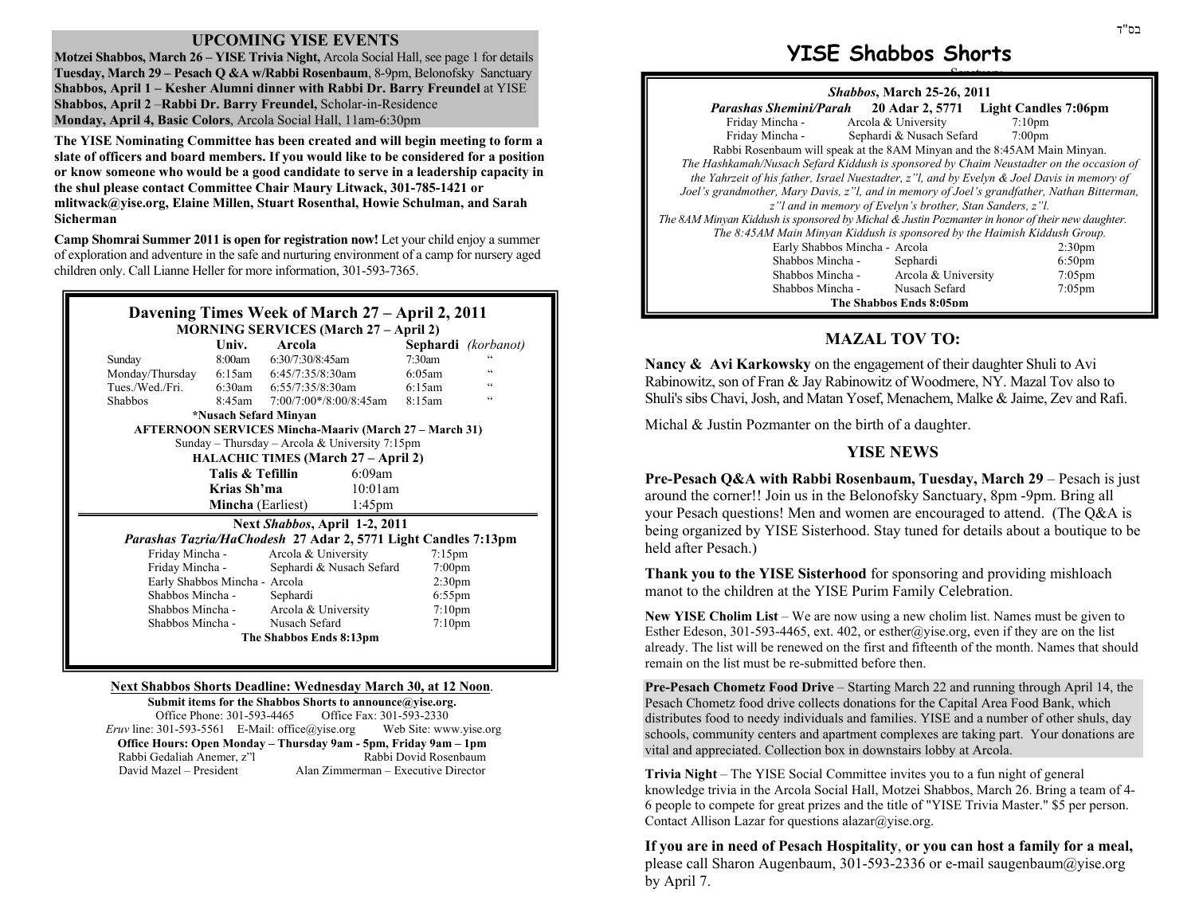### **UPCOMING YISE EVENTS**

**Motzei Shabbos, March 26 – YISE Trivia Night,** Arcola Social Hall, see page 1 for details Tuesday, March 29 – Pesach Q &A w/Rabbi Rosenbaum, 8-9pm, Belonofsky Sanctuary **Shabbos, April 1 – Kesher Alumni dinner with Rabbi Dr. Barry Freundel** at YISE **Shabbos, April 2** –**Rabbi Dr. Barry Freundel,** Scholar-in-Residence **Monday, April 4, Basic Colors**, Arcola Social Hall, 11am-6:30pm

**The YISE Nominating Committee has been created and will begin meeting to form a slate of officers and board members. If you would like to be considered for a position or know someone who would be a good candidate to serve in a leadership capacity in the shul please contact Committee Chair Maury Litwack, 301-785-1421 or mlitwack@yise.org, Elaine Millen, Stuart Rosenthal, Howie Schulman, and Sarah Sicherman** 

**Camp Shomrai Summer 2011 is open for registration now!** Let your child enjoy a summer of exploration and adventure in the safe and nurturing environment of a camp for nursery aged children only. Call Lianne Heller for more information, 301-593-7365.

## **Davening Times Week of March 27 – April 2, 2011 MORNING SERVICES (March 27 – April 2)**

|                                                                       | Univ.  | Arcola                    |                  |           | Sephardi (korbanot) |  |  |
|-----------------------------------------------------------------------|--------|---------------------------|------------------|-----------|---------------------|--|--|
| Sunday                                                                | 8:00am | $6:30/7:30/8:45$ am       |                  | $7:30$ am |                     |  |  |
| Monday/Thursday                                                       | 6:15am | $6:45/7:35/8:30$ am       |                  | 6:05am    | $\zeta\,\zeta$      |  |  |
| Tues./Wed./Fri.                                                       | 6:30am | $6:55/7:35/8:30$ am       |                  | 6:15am    | $\epsilon$          |  |  |
| <b>Shabbos</b>                                                        | 8:45am | $7:00/7:00*/8:00/8:45$ am |                  | 8:15am    | $\epsilon$          |  |  |
| *Nusach Sefard Minyan                                                 |        |                           |                  |           |                     |  |  |
| <b>AFTERNOON SERVICES Mincha-Maariv (March 27 – March 31)</b>         |        |                           |                  |           |                     |  |  |
| Sunday – Thursday – Arcola & University 7:15pm                        |        |                           |                  |           |                     |  |  |
| <b>HALACHIC TIMES (March 27 – April 2)</b>                            |        |                           |                  |           |                     |  |  |
| Talis & Tefillin                                                      |        |                           | $6:09$ am        |           |                     |  |  |
| Krias Sh'ma                                                           |        |                           | 10:01am          |           |                     |  |  |
| <b>Mincha</b> (Earliest)                                              |        |                           | $1:45 \text{pm}$ |           |                     |  |  |
| Next Shabbos, April 1-2, 2011                                         |        |                           |                  |           |                     |  |  |
| <i>Parashas Tazria/HaChodesh 27 Adar 2, 5771 Light Candles 7:13pm</i> |        |                           |                  |           |                     |  |  |

| Arcola & University      | $7:15 \text{pm}$              |  |  |  |  |
|--------------------------|-------------------------------|--|--|--|--|
| Sephardi & Nusach Sefard | $7:00 \text{pm}$              |  |  |  |  |
|                          | 2:30 <sub>pm</sub>            |  |  |  |  |
| Sephardi                 | $6:55$ pm                     |  |  |  |  |
| Arcola & University      | 7:10 <sub>pm</sub>            |  |  |  |  |
| Nusach Sefard            | 7:10 <sub>pm</sub>            |  |  |  |  |
| The Shabbos Ends 8:13pm  |                               |  |  |  |  |
|                          | Early Shabbos Mincha - Arcola |  |  |  |  |

#### **Next Shabbos Shorts Deadline: Wednesday March 30, at 12 Noon**.

**Submit items for the Shabbos Shorts to announce@yise.org.**  Office Phone: 301-593-4465 Office Fax: 301-593-2330 *Eruv* line: 301-593-5561 E-Mail: office@yise.org Web Site: www.yise.org **Office Hours: Open Monday – Thursday 9am - 5pm, Friday 9am – 1pm**  Rabbi Gedaliah Anemer, z"l Rabbi Dovid Rosenbaum David Mazel – President Alan Zimmerman – Executive Director

# **YISE Shabbos Shorts**

| <i>Shabbos, March 25-26, 2011</i>                                                                |                          |                    |  |  |  |  |
|--------------------------------------------------------------------------------------------------|--------------------------|--------------------|--|--|--|--|
| <i>Parashas Shemini/Parah</i> 20 Adar 2, 5771 Light Candles 7:06pm                               |                          |                    |  |  |  |  |
| Friday Mincha -                                                                                  | Arcola & University      | $7:10$ pm          |  |  |  |  |
| Friday Mincha -                                                                                  | Sephardi & Nusach Sefard | $7:00 \text{pm}$   |  |  |  |  |
| Rabbi Rosenbaum will speak at the 8AM Minyan and the 8:45AM Main Minyan.                         |                          |                    |  |  |  |  |
| The Hashkamah/Nusach Sefard Kiddush is sponsored by Chaim Neustadter on the occasion of          |                          |                    |  |  |  |  |
| the Yahrzeit of his father, Israel Nuestadter, $z$ "l, and by Evelyn & Joel Davis in memory of   |                          |                    |  |  |  |  |
| Joel's grandmother, Mary Davis, z"l, and in memory of Joel's grandfather, Nathan Bitterman,      |                          |                    |  |  |  |  |
| z" l and in memory of Evelyn's brother, Stan Sanders, z"l.                                       |                          |                    |  |  |  |  |
| The 8AM Minyan Kiddush is sponsored by Michal & Justin Pozmanter in honor of their new daughter. |                          |                    |  |  |  |  |
| The 8:45AM Main Minyan Kiddush is sponsored by the Haimish Kiddush Group.                        |                          |                    |  |  |  |  |
| Early Shabbos Mincha - Arcola                                                                    |                          | 2:30 <sub>pm</sub> |  |  |  |  |
| Shabbos Mincha -                                                                                 | Sephardi                 | 6:50 <sub>pm</sub> |  |  |  |  |
| Shabbos Mincha -                                                                                 | Arcola & University      | $7:05$ pm          |  |  |  |  |
| Shabbos Mincha -                                                                                 | Nusach Sefard            | $7:05$ pm          |  |  |  |  |
| The Shabbos Ends 8:05nm                                                                          |                          |                    |  |  |  |  |

### **MAZAL TOV TO:**

**Nancy & Avi Karkowsky** on the engagement of their daughter Shuli to Avi Rabinowitz, son of Fran & Jay Rabinowitz of Woodmere, NY. Mazal Tov also to Shuli's sibs Chavi, Josh, and Matan Yosef, Menachem, Malke & Jaime, Zev and Rafi.

Michal & Justin Pozmanter on the birth of a daughter.

#### **YISE NEWS**

**Pre-Pesach Q&A with Rabbi Rosenbaum, Tuesday, March 29** – Pesach is just around the corner!! Join us in the Belonofsky Sanctuary, 8pm -9pm. Bring all your Pesach questions! Men and women are encouraged to attend. (The Q&A is being organized by YISE Sisterhood. Stay tuned for details about a boutique to be held after Pesach.)

**Thank you to the YISE Sisterhood** for sponsoring and providing mishloach manot to the children at the YISE Purim Family Celebration.

**New YISE Cholim List** – We are now using a new cholim list. Names must be given to Esther Edeson, 301-593-4465, ext. 402, or esther@yise.org, even if they are on the list already. The list will be renewed on the first and fifteenth of the month. Names that should remain on the list must be re-submitted before then.

**Pre-Pesach Chometz Food Drive** – Starting March 22 and running through April 14, the Pesach Chometz food drive collects donations for the Capital Area Food Bank, which distributes food to needy individuals and families. YISE and a number of other shuls, day schools, community centers and apartment complexes are taking part. Your donations are vital and appreciated. Collection box in downstairs lobby at Arcola.

**Trivia Night** – The YISE Social Committee invites you to a fun night of general knowledge trivia in the Arcola Social Hall, Motzei Shabbos, March 26. Bring a team of 4- 6 people to compete for great prizes and the title of "YISE Trivia Master." \$5 per person. Contact Allison Lazar for questions alazar $@$ yise.org.

**If you are in need of Pesach Hospitality**, **or you can host a family for a meal,** please call Sharon Augenbaum, 301-593-2336 or e-mail saugenbaum@yise.org by April 7.